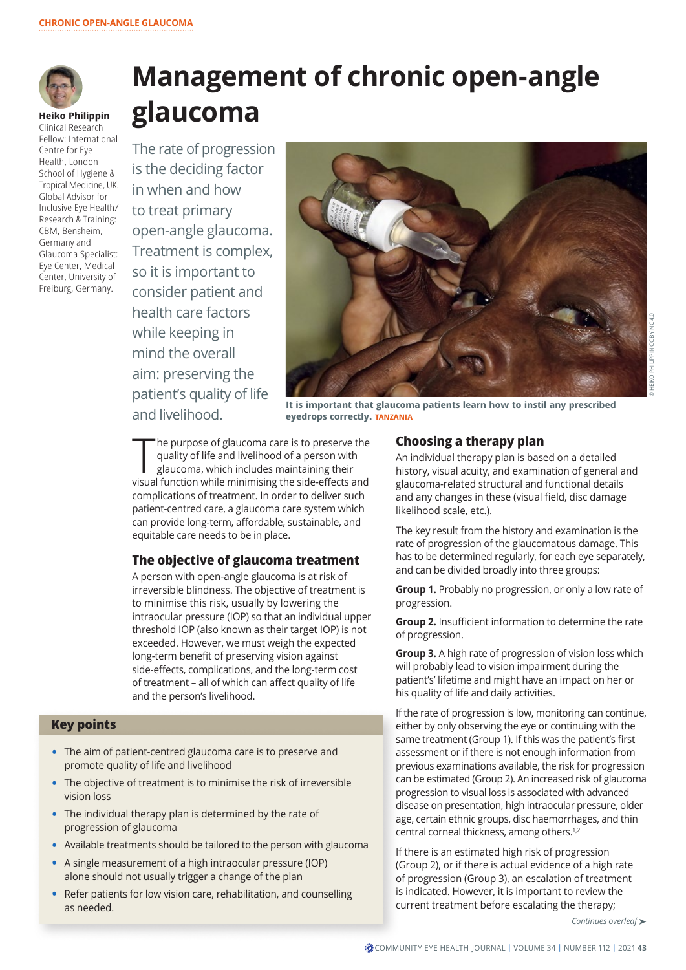

# **Management of chronic open-angle glaucoma**

**Heiko Philippin** Clinical Research Fellow: International Centre for Eye Health, London School of Hygiene & Tropical Medicine, UK. Global Advisor for Inclusive Eye Health/ Research & Training: CBM, Bensheim, Germany and Glaucoma Specialist: Eye Center, Medical Center, University of Freiburg, Germany.

The rate of progression is the deciding factor in when and how to treat primary open-angle glaucoma. Treatment is complex, so it is important to consider patient and health care factors while keeping in mind the overall aim: preserving the patient's quality of life



positive quality of the **It is important that glaucoma patients learn how to instil any prescribed**<br>and livelihood. *Experiment of the predicins correctly TANZANIA* **eyedrops correctly. TANZANIA**

The purpose of glaucoma care is to preserve the<br>quality of life and livelihood of a person with<br>glaucoma, which includes maintaining their<br>visual function while minimising the side-effects and he purpose of glaucoma care is to preserve the quality of life and livelihood of a person with glaucoma, which includes maintaining their complications of treatment. In order to deliver such patient-centred care, a glaucoma care system which can provide long-term, affordable, sustainable, and equitable care needs to be in place.

#### **The objective of glaucoma treatment**

A person with open-angle glaucoma is at risk of irreversible blindness. The objective of treatment is to minimise this risk, usually by lowering the intraocular pressure (IOP) so that an individual upper threshold IOP (also known as their target IOP) is not exceeded. However, we must weigh the expected long-term benefit of preserving vision against side-effects, complications, and the long-term cost of treatment – all of which can affect quality of life and the person's livelihood.

#### **Key points**

- **•** The aim of patient-centred glaucoma care is to preserve and promote quality of life and livelihood
- **•** The objective of treatment is to minimise the risk of irreversible vision loss
- **•** The individual therapy plan is determined by the rate of progression of glaucoma
- **•** Available treatments should be tailored to the person with glaucoma
- **•** A single measurement of a high intraocular pressure (IOP) alone should not usually trigger a change of the plan
- **•** Refer patients for low vision care, rehabilitation, and counselling as needed.

#### **Choosing a therapy plan**

An individual therapy plan is based on a detailed history, visual acuity, and examination of general and glaucoma-related structural and functional details and any changes in these (visual field, disc damage likelihood scale, etc.).

The key result from the history and examination is the rate of progression of the glaucomatous damage. This has to be determined regularly, for each eye separately, and can be divided broadly into three groups:

**Group 1.** Probably no progression, or only a low rate of progression.

**Group 2.** Insufficient information to determine the rate of progression.

**Group 3.** A high rate of progression of vision loss which will probably lead to vision impairment during the patient's' lifetime and might have an impact on her or his quality of life and daily activities.

If the rate of progression is low, monitoring can continue, either by only observing the eye or continuing with the same treatment (Group 1). If this was the patient's first assessment or if there is not enough information from previous examinations available, the risk for progression can be estimated (Group 2). An increased risk of glaucoma progression to visual loss is associated with advanced disease on presentation, high intraocular pressure, older age, certain ethnic groups, disc haemorrhages, and thin central corneal thickness, among others.1,2

If there is an estimated high risk of progression (Group 2), or if there is actual evidence of a high rate of progression (Group 3), an escalation of treatment is indicated. However, it is important to review the current treatment before escalating the therapy;

*Continues overleaf* ➤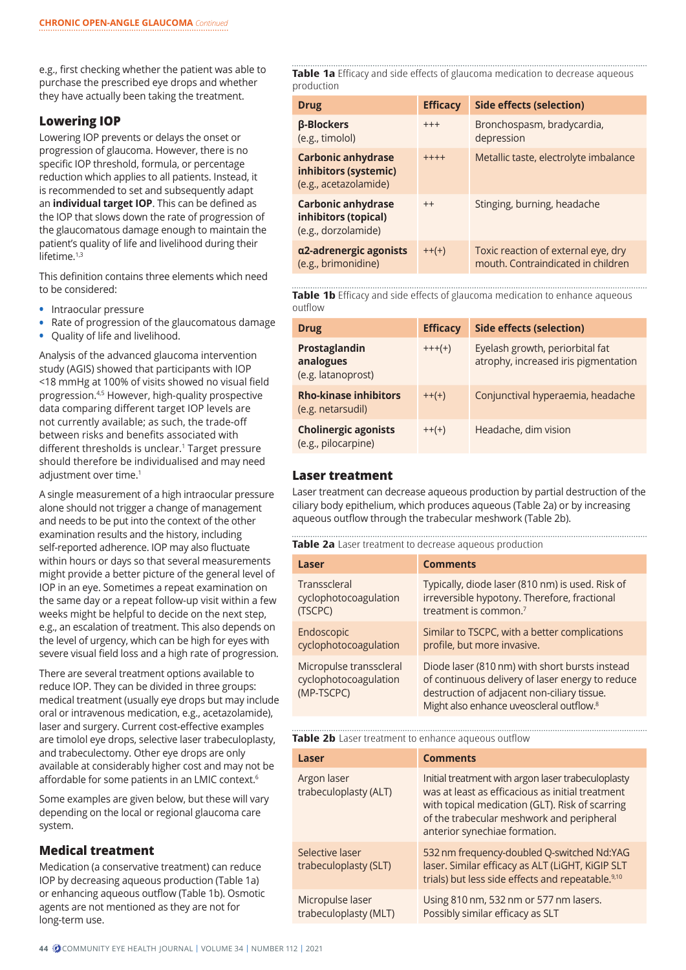e.g., first checking whether the patient was able to purchase the prescribed eye drops and whether they have actually been taking the treatment.

# **Lowering IOP**

Lowering IOP prevents or delays the onset or progression of glaucoma. However, there is no specific IOP threshold, formula, or percentage reduction which applies to all patients. Instead, it is recommended to set and subsequently adapt an **individual target IOP**. This can be defined as the IOP that slows down the rate of progression of the glaucomatous damage enough to maintain the patient's quality of life and livelihood during their lifetime.<sup>1,3</sup>

This definition contains three elements which need to be considered:

- **•** Intraocular pressure
- **•** Rate of progression of the glaucomatous damage
- **•** Quality of life and livelihood.

Analysis of the advanced glaucoma intervention study (AGIS) showed that participants with IOP <18 mmHg at 100% of visits showed no visual field progression.4,5 However, high-quality prospective data comparing different target IOP levels are not currently available; as such, the trade-off between risks and benefits associated with different thresholds is unclear.<sup>1</sup> Target pressure should therefore be individualised and may need adjustment over time.<sup>1</sup>

A single measurement of a high intraocular pressure alone should not trigger a change of management and needs to be put into the context of the other examination results and the history, including self-reported adherence. IOP may also fluctuate within hours or days so that several measurements might provide a better picture of the general level of IOP in an eye. Sometimes a repeat examination on the same day or a repeat follow-up visit within a few weeks might be helpful to decide on the next step, e.g., an escalation of treatment. This also depends on the level of urgency, which can be high for eyes with severe visual field loss and a high rate of progression.

There are several treatment options available to reduce IOP. They can be divided in three groups: medical treatment (usually eye drops but may include oral or intravenous medication, e.g., acetazolamide), laser and surgery. Current cost-effective examples are timolol eye drops, selective laser trabeculoplasty, and trabeculectomy. Other eye drops are only available at considerably higher cost and may not be affordable for some patients in an LMIC context.6

Some examples are given below, but these will vary depending on the local or regional glaucoma care system.

#### **Medical treatment**

Medication (a conservative treatment) can reduce IOP by decreasing aqueous production (Table 1a) or enhancing aqueous outflow (Table 1b). Osmotic agents are not mentioned as they are not for long-term use.

**Table 1a** Efficacy and side effects of glaucoma medication to decrease aqueous production

| <b>Drug</b>                                                                 | <b>Efficacy</b> | Side effects (selection)                                                  |
|-----------------------------------------------------------------------------|-----------------|---------------------------------------------------------------------------|
| <b>β-Blockers</b><br>(e.g., timolol)                                        | $+++$           | Bronchospasm, bradycardia,<br>depression                                  |
| <b>Carbonic anhydrase</b><br>inhibitors (systemic)<br>(e.g., acetazolamide) | $+++++$         | Metallic taste, electrolyte imbalance                                     |
| Carbonic anhydrase<br>inhibitors (topical)<br>(e.g., dorzolamide)           | $++$            | Stinging, burning, headache                                               |
| α2-adrenergic agonists<br>(e.g., brimonidine)                               | $++(+)$         | Toxic reaction of external eye, dry<br>mouth. Contraindicated in children |

**Table 1b** Efficacy and side effects of glaucoma medication to enhance aqueous outflow

| <b>Drug</b>                                        | <b>Efficacy</b> | <b>Side effects (selection)</b>                                         |
|----------------------------------------------------|-----------------|-------------------------------------------------------------------------|
| Prostaglandin<br>analogues<br>(e.g. latanoprost)   | $+++(+)$        | Eyelash growth, periorbital fat<br>atrophy, increased iris pigmentation |
| <b>Rho-kinase inhibitors</b><br>(e.g. netarsudil)  | $++(+)$         | Conjunctival hyperaemia, headache                                       |
| <b>Cholinergic agonists</b><br>(e.g., pilocarpine) | $++(+)$         | Headache, dim vision                                                    |

#### **Laser treatment**

Laser treatment can decrease aqueous production by partial destruction of the ciliary body epithelium, which produces aqueous (Table 2a) or by increasing aqueous outflow through the trabecular meshwork (Table 2b).

**Table 2a** Laser treatment to decrease aqueous production

| Laser                                                          | <b>Comments</b>                                                                                                                                                                                           |
|----------------------------------------------------------------|-----------------------------------------------------------------------------------------------------------------------------------------------------------------------------------------------------------|
| Transscleral                                                   | Typically, diode laser (810 nm) is used. Risk of                                                                                                                                                          |
| cyclophotocoagulation                                          | irreversible hypotony. Therefore, fractional                                                                                                                                                              |
| (TSCPC)                                                        | treatment is common. <sup>7</sup>                                                                                                                                                                         |
| Endoscopic                                                     | Similar to TSCPC, with a better complications                                                                                                                                                             |
| cyclophotocoagulation                                          | profile, but more invasive.                                                                                                                                                                               |
| Micropulse transscleral<br>cyclophotocoagulation<br>(MP-TSCPC) | Diode laser (810 nm) with short bursts instead<br>of continuous delivery of laser energy to reduce<br>destruction of adjacent non-ciliary tissue.<br>Might also enhance uveoscleral outflow. <sup>8</sup> |

#### **Table 2b** Laser treatment to enhance aqueous outflow

| Laser                                     | <b>Comments</b>                                                                                                                                                                                                                         |
|-------------------------------------------|-----------------------------------------------------------------------------------------------------------------------------------------------------------------------------------------------------------------------------------------|
| Argon laser<br>trabeculoplasty (ALT)      | Initial treatment with argon laser trabeculoplasty<br>was at least as efficacious as initial treatment<br>with topical medication (GLT). Risk of scarring<br>of the trabecular meshwork and peripheral<br>anterior synechiae formation. |
| Selective laser<br>trabeculoplasty (SLT)  | 532 nm frequency-doubled Q-switched Nd:YAG<br>laser. Similar efficacy as ALT (LiGHT, KiGIP SLT<br>trials) but less side effects and repeatable. <sup>9,10</sup>                                                                         |
| Micropulse laser<br>trabeculoplasty (MLT) | Using 810 nm, 532 nm or 577 nm lasers.<br>Possibly similar efficacy as SLT                                                                                                                                                              |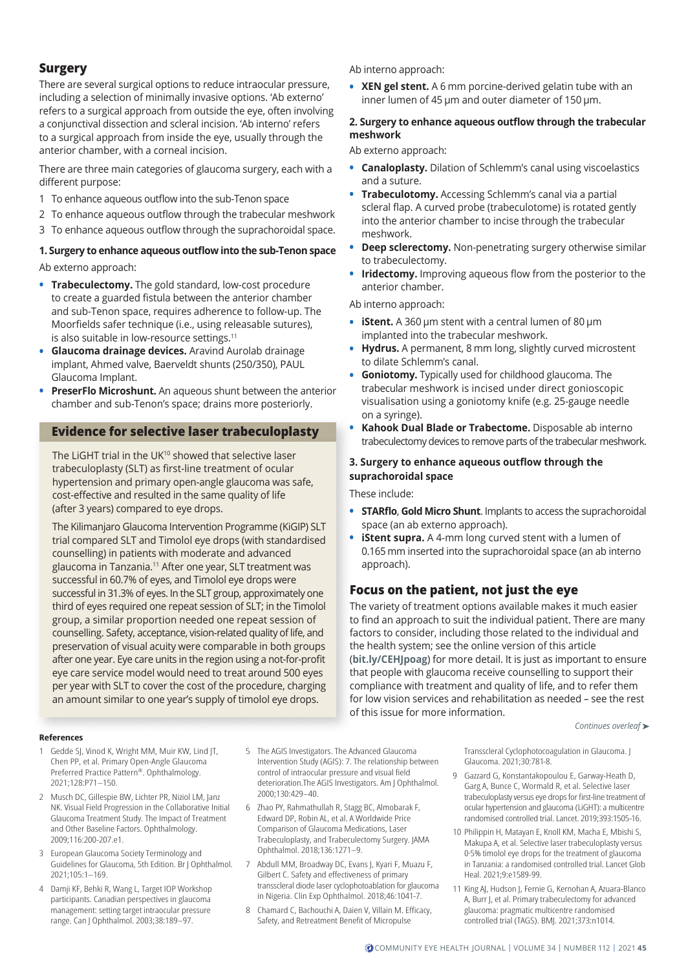# **Surgery**

There are several surgical options to reduce intraocular pressure, including a selection of minimally invasive options. 'Ab externo' refers to a surgical approach from outside the eye, often involving a conjunctival dissection and scleral incision. 'Ab interno' refers to a surgical approach from inside the eye, usually through the anterior chamber, with a corneal incision.

There are three main categories of glaucoma surgery, each with a different purpose:

- 1 To enhance aqueous outflow into the sub-Tenon space
- 2 To enhance aqueous outflow through the trabecular meshwork
- 3 To enhance aqueous outflow through the suprachoroidal space.

# **1. Surgery to enhance aqueous outflow into the sub-Tenon space**

Ab externo approach:

- **• Trabeculectomy.** The gold standard, low-cost procedure to create a guarded fistula between the anterior chamber and sub-Tenon space, requires adherence to follow-up. The Moorfields safer technique (i.e., using releasable sutures), is also suitable in low-resource settings.<sup>11</sup>
- **• Glaucoma drainage devices.** Aravind Aurolab drainage implant, Ahmed valve, Baerveldt shunts (250/350), PAUL Glaucoma Implant.
- **• PreserFlo Microshunt.** An aqueous shunt between the anterior chamber and sub-Tenon's space; drains more posteriorly.

# **Evidence for selective laser trabeculoplasty**

The LiGHT trial in the UK<sup>10</sup> showed that selective laser trabeculoplasty (SLT) as first-line treatment of ocular hypertension and primary open-angle glaucoma was safe, cost-effective and resulted in the same quality of life (after 3 years) compared to eye drops.

The Kilimanjaro Glaucoma Intervention Programme (KiGIP) SLT trial compared SLT and Timolol eye drops (with standardised counselling) in patients with moderate and advanced glaucoma in Tanzania.<sup>11</sup> After one year, SLT treatment was successful in 60.7% of eyes, and Timolol eye drops were successful in 31.3% of eyes. In the SLT group, approximately one third of eyes required one repeat session of SLT; in the Timolol group, a similar proportion needed one repeat session of counselling. Safety, acceptance, vision-related quality of life, and preservation of visual acuity were comparable in both groups after one year. Eye care units in the region using a not-for-profit eye care service model would need to treat around 500 eyes per year with SLT to cover the cost of the procedure, charging an amount similar to one year's supply of timolol eye drops.

#### Ab interno approach:

**• XEN gel stent.** A 6 mm porcine-derived gelatin tube with an inner lumen of 45 µm and outer diameter of 150 µm.

#### **2. Surgery to enhance aqueous outflow through the trabecular meshwork**

Ab externo approach:

- **• Canaloplasty.** Dilation of Schlemm's canal using viscoelastics and a suture.
- **• Trabeculotomy.** Accessing Schlemm's canal via a partial scleral flap. A curved probe (trabeculotome) is rotated gently into the anterior chamber to incise through the trabecular meshwork.
- **• Deep sclerectomy.** Non-penetrating surgery otherwise similar to trabeculectomy.
- **• Iridectomy.** Improving aqueous flow from the posterior to the anterior chamber.

Ab interno approach:

- **iStent.** A 360 µm stent with a central lumen of 80 µm implanted into the trabecular meshwork.
- **• Hydrus.** A permanent, 8 mm long, slightly curved microstent to dilate Schlemm's canal.
- **• Goniotomy.** Typically used for childhood glaucoma. The trabecular meshwork is incised under direct gonioscopic visualisation using a goniotomy knife (e.g. 25-gauge needle on a syringe).
- **• Kahook Dual Blade or Trabectome.** Disposable ab interno trabeculectomy devices to remove parts of the trabecular meshwork.

#### **3. Surgery to enhance aqueous outflow through the suprachoroidal space**

These include:

- **• STARflo**, **Gold Micro Shunt**. Implants to access the suprachoroidal space (an ab externo approach).
- **• iStent supra.** A 4-mm long curved stent with a lumen of 0.165 mm inserted into the suprachoroidal space (an ab interno approach).

# **Focus on the patient, not just the eye**

The variety of treatment options available makes it much easier to find an approach to suit the individual patient. There are many factors to consider, including those related to the individual and the health system; see the online version of this article (**[bit.ly/CEHJpoag](http://bit.ly/CEHJpoag)**) for more detail. It is just as important to ensure that people with glaucoma receive counselling to support their compliance with treatment and quality of life, and to refer them for low vision services and rehabilitation as needed – see the rest of this issue for more information.

*Continues overleaf* ➤

#### **References**

- 1 Gedde SJ, Vinod K, Wright MM, Muir KW, Lind JT, Chen PP, et al. Primary Open-Angle Glaucoma Preferred Practice Pattern®. Ophthalmology. 2021;128:P71–150.
- 2 Musch DC, Gillespie BW, Lichter PR, Niziol LM, Janz NK. Visual Field Progression in the Collaborative Initial Glaucoma Treatment Study. The Impact of Treatment and Other Baseline Factors. Ophthalmology. 2009;116:200-207.e1.
- 3 European Glaucoma Society Terminology and Guidelines for Glaucoma, 5th Edition. Br J Ophthalmol. 2021;105:1–169.
- 4 Damji KF, Behki R, Wang L, Target IOP Workshop participants. Canadian perspectives in glaucoma management: setting target intraocular pressure range. Can J Ophthalmol. 2003;38:189–97.
- 5 The AGIS Investigators. The Advanced Glaucoma Intervention Study (AGIS): 7. The relationship between control of intraocular pressure and visual field deterioration.The AGIS Investigators. Am J Ophthalmol. 2000;130:429–40.
- 6 Zhao PY, Rahmathullah R, Stagg BC, Almobarak F, Edward DP, Robin AL, et al. A Worldwide Price Comparison of Glaucoma Medications, Laser Trabeculoplasty, and Trabeculectomy Surgery. JAMA Ophthalmol. 2018;136:1271–9.
- 7 Abdull MM, Broadway DC, Evans J, Kyari F, Muazu F, Gilbert C. Safety and effectiveness of primary transscleral diode laser cyclophotoablation for glaucoma in Nigeria. Clin Exp Ophthalmol. 2018;46:1041-7.
- 8 Chamard C, Bachouchi A, Daien V, Villain M. Efficacy, Safety, and Retreatment Benefit of Micropulse

Transscleral Cyclophotocoagulation in Glaucoma. J Glaucoma. 2021;30:781-8.

- 9 Gazzard G, Konstantakopoulou E, Garway-Heath D, Garg A, Bunce C, Wormald R, et al. Selective laser trabeculoplasty versus eye drops for first-line treatment of ocular hypertension and glaucoma (LiGHT): a multicentre randomised controlled trial. Lancet. 2019;393:1505-16.
- 10 Philippin H, Matayan E, Knoll KM, Macha E, Mbishi S, Makupa A, et al. Selective laser trabeculoplasty versus 0·5% timolol eye drops for the treatment of glaucoma in Tanzania: a randomised controlled trial. Lancet Glob Heal. 2021;9:e1589-99.
- 11 King AJ, Hudson J, Fernie G, Kernohan A, Azuara-Blanco A, Burr J, et al. Primary trabeculectomy for advanced glaucoma: pragmatic multicentre randomised controlled trial (TAGS). BMJ. 2021;373:n1014.